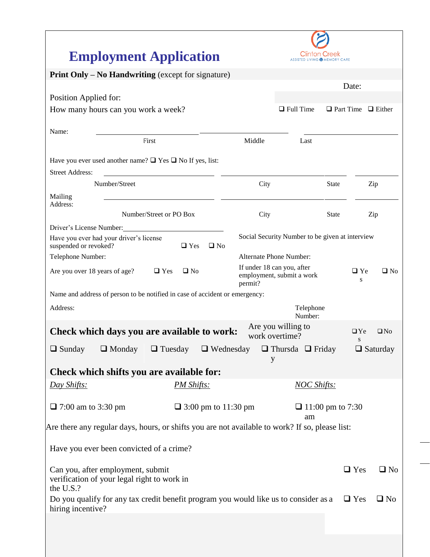| <b>Employment Application</b>                                                                             |                            | Clinton Creek<br><b>ASSISTED LIVING @ MEMORY CARE</b> |                                     |  |
|-----------------------------------------------------------------------------------------------------------|----------------------------|-------------------------------------------------------|-------------------------------------|--|
| <b>Print Only – No Handwriting</b> (except for signature)                                                 |                            |                                                       |                                     |  |
|                                                                                                           |                            | Date:                                                 |                                     |  |
| Position Applied for:                                                                                     |                            |                                                       |                                     |  |
| How many hours can you work a week?                                                                       |                            | $\Box$ Full Time                                      | $\Box$ Part Time $\Box$ Either      |  |
| Name:                                                                                                     |                            |                                                       |                                     |  |
| First                                                                                                     | Middle                     | Last                                                  |                                     |  |
| Have you ever used another name? $\Box$ Yes $\Box$ No If yes, list:                                       |                            |                                                       |                                     |  |
| <b>Street Address:</b>                                                                                    |                            |                                                       |                                     |  |
| Number/Street                                                                                             | City                       | <b>State</b>                                          | Zip                                 |  |
| Mailing<br>Address:                                                                                       |                            |                                                       |                                     |  |
| Number/Street or PO Box                                                                                   | City                       | <b>State</b>                                          | Zip                                 |  |
| Driver's License Number:                                                                                  |                            |                                                       |                                     |  |
| Have you ever had your driver's license<br>$\Box$ Yes<br>$\square$ No<br>suspended or revoked?            |                            | Social Security Number to be given at interview       |                                     |  |
| Telephone Number:                                                                                         | Alternate Phone Number:    |                                                       |                                     |  |
| Are you over 18 years of age?<br>$\Box$ No<br>$\Box$ Yes                                                  | If under 18 can you, after |                                                       | $\square$ Ye<br>$\Box$ No           |  |
|                                                                                                           | permit?                    | employment, submit a work                             | S                                   |  |
| Name and address of person to be notified in case of accident or emergency:                               |                            |                                                       |                                     |  |
| Address:                                                                                                  |                            | Telephone<br>Number:                                  |                                     |  |
| Check which days you are available to work:                                                               | work overtime?             | Are you willing to                                    | $\Box$ Ye<br>$\Box$ No<br>${\bf S}$ |  |
| $\Box$ Sunday $\Box$ Monday $\Box$ Tuesday $\Box$ Wednesday $\Box$ Thursda $\Box$ Friday                  | y                          |                                                       | $\Box$ Saturday                     |  |
| Check which shifts you are available for:                                                                 |                            |                                                       |                                     |  |
| Day Shifts:<br><b>PM Shifts:</b>                                                                          |                            | <b>NOC Shifts:</b>                                    |                                     |  |
| $\Box$ 7:00 am to 3:30 pm<br>$\Box$ 3:00 pm to 11:30 pm                                                   |                            | $\Box$ 11:00 pm to 7:30<br>am                         |                                     |  |
| Are there any regular days, hours, or shifts you are not available to work? If so, please list:           |                            |                                                       |                                     |  |
|                                                                                                           |                            |                                                       |                                     |  |
| Have you ever been convicted of a crime?                                                                  |                            |                                                       |                                     |  |
| Can you, after employment, submit<br>verification of your legal right to work in<br>the U.S.?             |                            |                                                       | $\Box$ Yes<br>$\Box$ No             |  |
| Do you qualify for any tax credit benefit program you would like us to consider as a<br>hiring incentive? |                            |                                                       | $\Box$ Yes<br>$\Box$ No             |  |
|                                                                                                           |                            |                                                       |                                     |  |
|                                                                                                           |                            |                                                       |                                     |  |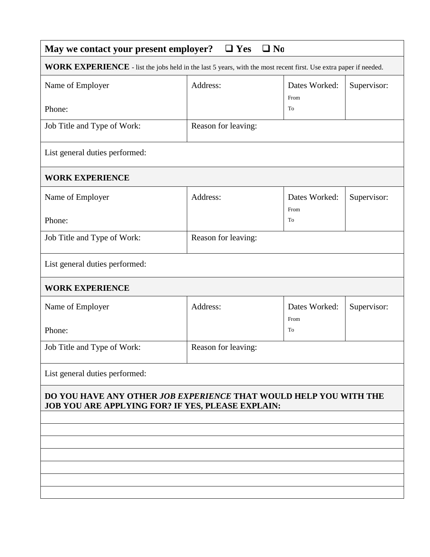| $\Box$ No<br>May we contact your present employer?<br>$\Box$ Yes                                                       |                     |                       |             |  |  |  |  |
|------------------------------------------------------------------------------------------------------------------------|---------------------|-----------------------|-------------|--|--|--|--|
| WORK EXPERIENCE - list the jobs held in the last 5 years, with the most recent first. Use extra paper if needed.       |                     |                       |             |  |  |  |  |
| Name of Employer                                                                                                       | Address:            | Dates Worked:<br>From | Supervisor: |  |  |  |  |
| Phone:                                                                                                                 |                     | To                    |             |  |  |  |  |
| Job Title and Type of Work:                                                                                            | Reason for leaving: |                       |             |  |  |  |  |
| List general duties performed:                                                                                         |                     |                       |             |  |  |  |  |
| <b>WORK EXPERIENCE</b>                                                                                                 |                     |                       |             |  |  |  |  |
| Name of Employer                                                                                                       | Address:            | Dates Worked:<br>From | Supervisor: |  |  |  |  |
| Phone:                                                                                                                 |                     | To                    |             |  |  |  |  |
| Job Title and Type of Work:                                                                                            | Reason for leaving: |                       |             |  |  |  |  |
| List general duties performed:                                                                                         |                     |                       |             |  |  |  |  |
| <b>WORK EXPERIENCE</b>                                                                                                 |                     |                       |             |  |  |  |  |
| Name of Employer                                                                                                       | Address:            | Dates Worked:<br>From | Supervisor: |  |  |  |  |
| Phone:                                                                                                                 |                     | To                    |             |  |  |  |  |
| Job Title and Type of Work:                                                                                            | Reason for leaving: |                       |             |  |  |  |  |
| List general duties performed:                                                                                         |                     |                       |             |  |  |  |  |
| DO YOU HAVE ANY OTHER JOB EXPERIENCE THAT WOULD HELP YOU WITH THE<br>JOB YOU ARE APPLYING FOR? IF YES, PLEASE EXPLAIN: |                     |                       |             |  |  |  |  |
|                                                                                                                        |                     |                       |             |  |  |  |  |
|                                                                                                                        |                     |                       |             |  |  |  |  |
|                                                                                                                        |                     |                       |             |  |  |  |  |
|                                                                                                                        |                     |                       |             |  |  |  |  |
|                                                                                                                        |                     |                       |             |  |  |  |  |
|                                                                                                                        |                     |                       |             |  |  |  |  |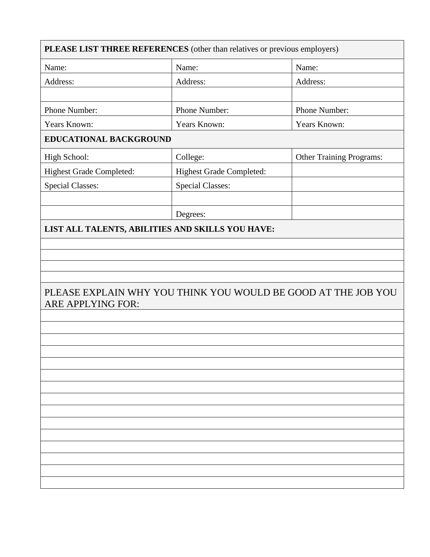| PLEASE LIST THREE REFERENCES (other than relatives or previous employers)          |                                 |                                 |  |  |  |
|------------------------------------------------------------------------------------|---------------------------------|---------------------------------|--|--|--|
| Name:                                                                              | Name:                           | Name:                           |  |  |  |
| Address:                                                                           | Address:                        | Address:                        |  |  |  |
|                                                                                    |                                 |                                 |  |  |  |
| Phone Number:                                                                      | Phone Number:                   | Phone Number:                   |  |  |  |
| Years Known:                                                                       | Years Known:                    | Years Known:                    |  |  |  |
| EDUCATIONAL BACKGROUND                                                             |                                 |                                 |  |  |  |
| High School:                                                                       | College:                        | <b>Other Training Programs:</b> |  |  |  |
| Highest Grade Completed:                                                           | <b>Highest Grade Completed:</b> |                                 |  |  |  |
| <b>Special Classes:</b>                                                            | <b>Special Classes:</b>         |                                 |  |  |  |
|                                                                                    |                                 |                                 |  |  |  |
|                                                                                    | Degrees:                        |                                 |  |  |  |
| LIST ALL TALENTS, ABILITIES AND SKILLS YOU HAVE:                                   |                                 |                                 |  |  |  |
|                                                                                    |                                 |                                 |  |  |  |
|                                                                                    |                                 |                                 |  |  |  |
|                                                                                    |                                 |                                 |  |  |  |
| PLEASE EXPLAIN WHY YOU THINK YOU WOULD BE GOOD AT THE JOB YOU<br>ARE APPLYING FOR: |                                 |                                 |  |  |  |
|                                                                                    |                                 |                                 |  |  |  |
|                                                                                    |                                 |                                 |  |  |  |
|                                                                                    |                                 |                                 |  |  |  |
|                                                                                    |                                 |                                 |  |  |  |
|                                                                                    |                                 |                                 |  |  |  |
|                                                                                    |                                 |                                 |  |  |  |
|                                                                                    |                                 |                                 |  |  |  |
|                                                                                    |                                 |                                 |  |  |  |
|                                                                                    |                                 |                                 |  |  |  |
|                                                                                    |                                 |                                 |  |  |  |
|                                                                                    |                                 |                                 |  |  |  |
|                                                                                    |                                 |                                 |  |  |  |